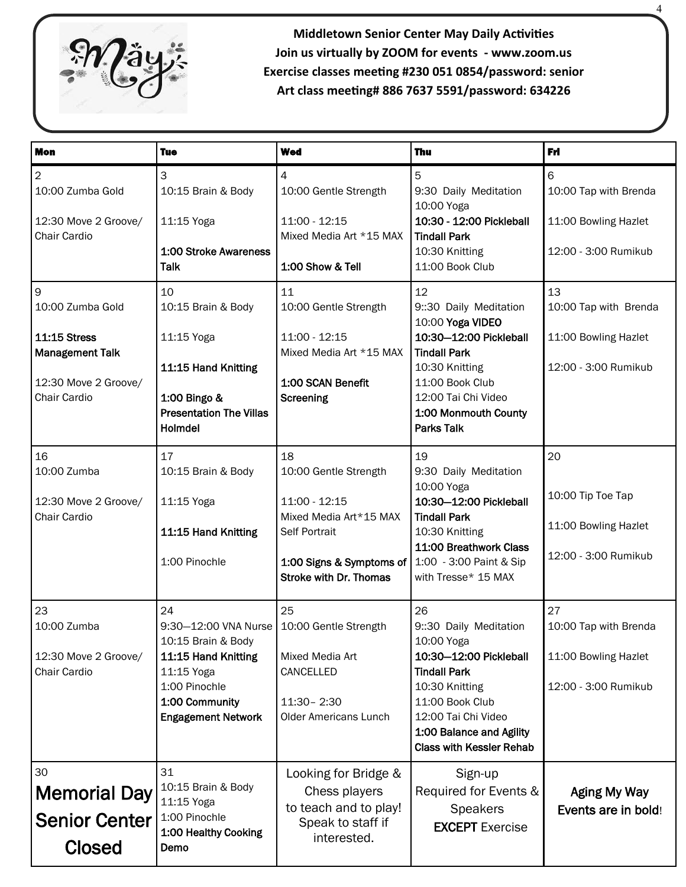

**Middletown Senior Center May Daily Activities Join us virtually by ZOOM for events - www.zoom.us Exercise classes meeting #230 051 0854/password: senior Art class meeting# 886 7637 5591/password: 634226**

4

| <b>Mon</b>                                                                                                     | <b>Tue</b>                                                                                                                                                                    | <b>Wed</b>                                                                                                                                           | <b>Thu</b>                                                                                                                                                                                                            | Fri                                                                         |
|----------------------------------------------------------------------------------------------------------------|-------------------------------------------------------------------------------------------------------------------------------------------------------------------------------|------------------------------------------------------------------------------------------------------------------------------------------------------|-----------------------------------------------------------------------------------------------------------------------------------------------------------------------------------------------------------------------|-----------------------------------------------------------------------------|
| 2<br>10:00 Zumba Gold<br>12:30 Move 2 Groove/<br>Chair Cardio                                                  | 3<br>10:15 Brain & Body<br>11:15 Yoga<br>1:00 Stroke Awareness<br><b>Talk</b>                                                                                                 | 4<br>10:00 Gentle Strength<br>11:00 - 12:15<br>Mixed Media Art *15 MAX<br>1:00 Show & Tell                                                           | 5<br>9:30 Daily Meditation<br>10:00 Yoga<br>10:30 - 12:00 Pickleball<br><b>Tindall Park</b><br>10:30 Knitting<br>11:00 Book Club                                                                                      | 6<br>10:00 Tap with Brenda<br>11:00 Bowling Hazlet<br>12:00 - 3:00 Rumikub  |
| 9<br>10:00 Zumba Gold<br><b>11:15 Stress</b><br><b>Management Talk</b><br>12:30 Move 2 Groove/<br>Chair Cardio | 10<br>10:15 Brain & Body<br>11:15 Yoga<br>11:15 Hand Knitting<br>1:00 Bingo &<br><b>Presentation The Villas</b><br>Holmdel                                                    | 11<br>10:00 Gentle Strength<br>11:00 - 12:15<br>Mixed Media Art *15 MAX<br>1:00 SCAN Benefit<br>Screening                                            | 12<br>9:30 Daily Meditation<br>10:00 Yoga VIDEO<br>10:30-12:00 Pickleball<br><b>Tindall Park</b><br>10:30 Knitting<br>11:00 Book Club<br>12:00 Tai Chi Video<br>1:00 Monmouth County<br><b>Parks Talk</b>             | 13<br>10:00 Tap with Brenda<br>11:00 Bowling Hazlet<br>12:00 - 3:00 Rumikub |
| 16<br>10:00 Zumba<br>12:30 Move 2 Groove/<br>Chair Cardio                                                      | 17<br>10:15 Brain & Body<br>11:15 Yoga<br>11:15 Hand Knitting<br>1:00 Pinochle                                                                                                | 18<br>10:00 Gentle Strength<br>11:00 - 12:15<br>Mixed Media Art*15 MAX<br>Self Portrait<br>1:00 Signs & Symptoms of<br><b>Stroke with Dr. Thomas</b> | 19<br>9:30 Daily Meditation<br>10:00 Yoga<br>10:30-12:00 Pickleball<br><b>Tindall Park</b><br>10:30 Knitting<br>11:00 Breathwork Class<br>1:00 - 3:00 Paint & Sip<br>with Tresse* 15 MAX                              | 20<br>10:00 Tip Toe Tap<br>11:00 Bowling Hazlet<br>12:00 - 3:00 Rumikub     |
| 23<br>10:00 Zumba<br>12:30 Move 2 Groove/<br>Chair Cardio                                                      | 24<br>9:30-12:00 VNA Nurse   10:00 Gentle Strength<br>10:15 Brain & Body<br>11:15 Hand Knitting<br>11:15 Yoga<br>1:00 Pinochle<br>1:00 Community<br><b>Engagement Network</b> | 25<br>Mixed Media Art<br>CANCELLED<br>11:30 - 2:30<br><b>Older Americans Lunch</b>                                                                   | 26<br>9:30 Daily Meditation<br>10:00 Yoga<br>10:30-12:00 Pickleball<br><b>Tindall Park</b><br>10:30 Knitting<br>11:00 Book Club<br>12:00 Tai Chi Video<br>1:00 Balance and Agility<br><b>Class with Kessler Rehab</b> | 27<br>10:00 Tap with Brenda<br>11:00 Bowling Hazlet<br>12:00 - 3:00 Rumikub |
| 30<br><b>Memorial Day</b><br><b>Senior Center</b><br><b>Closed</b>                                             | 31<br>10:15 Brain & Body<br>11:15 Yoga<br>1:00 Pinochle<br>1:00 Healthy Cooking<br>Demo                                                                                       | Looking for Bridge &<br>Chess players<br>to teach and to play!<br>Speak to staff if<br>interested.                                                   | Sign-up<br>Required for Events &<br><b>Speakers</b><br><b>EXCEPT</b> Exercise                                                                                                                                         | <b>Aging My Way</b><br>Events are in bold!                                  |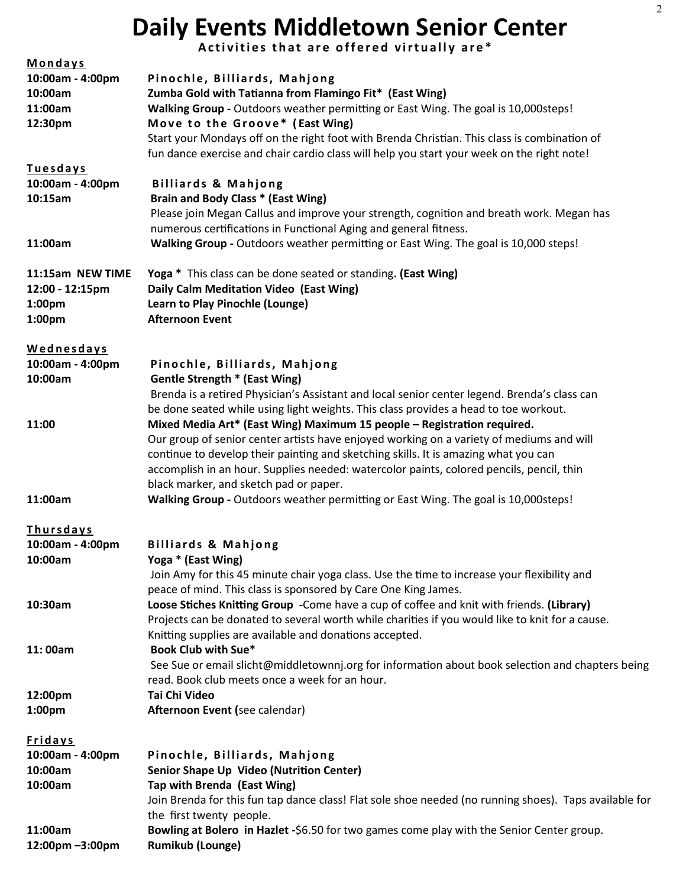# **Daily Events Middletown Senior Center**

Activities that are offered virtually are\*

| Mondays           |                                                                                                        |  |  |
|-------------------|--------------------------------------------------------------------------------------------------------|--|--|
| 10:00am - 4:00pm  | Pinochle, Billiards, Mahjong                                                                           |  |  |
| 10:00am           | Zumba Gold with Tatianna from Flamingo Fit* (East Wing)                                                |  |  |
| 11:00am           | Walking Group - Outdoors weather permitting or East Wing. The goal is 10,000steps!                     |  |  |
| 12:30pm           | Move to the Groove* (East Wing)                                                                        |  |  |
|                   | Start your Mondays off on the right foot with Brenda Christian. This class is combination of           |  |  |
|                   | fun dance exercise and chair cardio class will help you start your week on the right note!             |  |  |
| <b>Tuesdays</b>   |                                                                                                        |  |  |
| 10:00am - 4:00pm  | <b>Billiards &amp; Mahjong</b>                                                                         |  |  |
| 10:15am           | Brain and Body Class * (East Wing)                                                                     |  |  |
|                   | Please join Megan Callus and improve your strength, cognition and breath work. Megan has               |  |  |
|                   | numerous certifications in Functional Aging and general fitness.                                       |  |  |
| 11:00am           | Walking Group - Outdoors weather permitting or East Wing. The goal is 10,000 steps!                    |  |  |
| 11:15am NEW TIME  | Yoga * This class can be done seated or standing. (East Wing)                                          |  |  |
| 12:00 - 12:15pm   | Daily Calm Meditation Video (East Wing)                                                                |  |  |
| 1:00pm            | Learn to Play Pinochle (Lounge)                                                                        |  |  |
| 1:00pm            | <b>Afternoon Event</b>                                                                                 |  |  |
| <b>Wednesdays</b> |                                                                                                        |  |  |
| 10:00am - 4:00pm  | Pinochle, Billiards, Mahjong                                                                           |  |  |
| 10:00am           | <b>Gentle Strength * (East Wing)</b>                                                                   |  |  |
|                   | Brenda is a retired Physician's Assistant and local senior center legend. Brenda's class can           |  |  |
|                   | be done seated while using light weights. This class provides a head to toe workout.                   |  |  |
| 11:00             | Mixed Media Art* (East Wing) Maximum 15 people - Registration required.                                |  |  |
|                   | Our group of senior center artists have enjoyed working on a variety of mediums and will               |  |  |
|                   | continue to develop their painting and sketching skills. It is amazing what you can                    |  |  |
|                   | accomplish in an hour. Supplies needed: watercolor paints, colored pencils, pencil, thin               |  |  |
|                   | black marker, and sketch pad or paper.                                                                 |  |  |
| 11:00am           | Walking Group - Outdoors weather permitting or East Wing. The goal is 10,000steps!                     |  |  |
| Thursdays         |                                                                                                        |  |  |
| 10:00am - 4:00pm  | <b>Billiards &amp; Mahjong</b>                                                                         |  |  |
| 10:00am           | Yoga * (East Wing)                                                                                     |  |  |
|                   | Join Amy for this 45 minute chair yoga class. Use the time to increase your flexibility and            |  |  |
|                   | peace of mind. This class is sponsored by Care One King James.                                         |  |  |
| 10:30am           | Loose Stiches Knitting Group - Come have a cup of coffee and knit with friends. (Library)              |  |  |
|                   | Projects can be donated to several worth while charities if you would like to knit for a cause.        |  |  |
|                   | Knitting supplies are available and donations accepted.                                                |  |  |
| 11:00am           | Book Club with Sue*                                                                                    |  |  |
|                   | See Sue or email slicht@middletownnj.org for information about book selection and chapters being       |  |  |
|                   | read. Book club meets once a week for an hour.                                                         |  |  |
| 12:00pm           | <b>Tai Chi Video</b>                                                                                   |  |  |
| 1:00pm            | Afternoon Event (see calendar)                                                                         |  |  |
| <b>Fridays</b>    |                                                                                                        |  |  |
| 10:00am - 4:00pm  | Pinochle, Billiards, Mahjong                                                                           |  |  |
| 10:00am           | Senior Shape Up Video (Nutrition Center)                                                               |  |  |
| 10:00am           | Tap with Brenda (East Wing)                                                                            |  |  |
|                   | Join Brenda for this fun tap dance class! Flat sole shoe needed (no running shoes). Taps available for |  |  |
|                   | the first twenty people.                                                                               |  |  |
| 11:00am           | Bowling at Bolero in Hazlet -\$6.50 for two games come play with the Senior Center group.              |  |  |
| 12:00pm-3:00pm    | <b>Rumikub (Lounge)</b>                                                                                |  |  |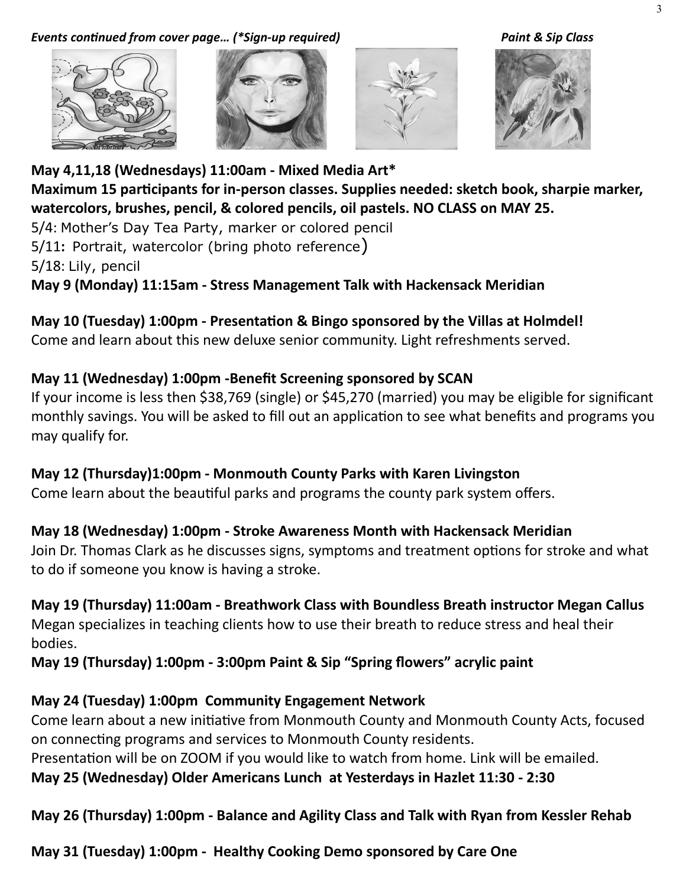#### *Events continued from cover page… (\*Sign-up required) Paint & Sip Class*







**May 4,11,18 (Wednesdays) 11:00am - Mixed Media Art\* Maximum 15 participants for in-person classes. Supplies needed: sketch book, sharpie marker, watercolors, brushes, pencil, & colored pencils, oil pastels. NO CLASS on MAY 25.** 

5/4: Mother's Day Tea Party, marker or colored pencil 5/11**:** Portrait, watercolor (bring photo reference) 5/18: Lily, pencil

**May 9 (Monday) 11:15am - Stress Management Talk with Hackensack Meridian** 

#### **May 10 (Tuesday) 1:00pm - Presentation & Bingo sponsored by the Villas at Holmdel!**

Come and learn about this new deluxe senior community. Light refreshments served.

#### **May 11 (Wednesday) 1:00pm -Benefit Screening sponsored by SCAN**

If your income is less then \$38,769 (single) or \$45,270 (married) you may be eligible for significant monthly savings. You will be asked to fill out an application to see what benefits and programs you may qualify for.

### **May 12 (Thursday)1:00pm - Monmouth County Parks with Karen Livingston**

Come learn about the beautiful parks and programs the county park system offers.

### **May 18 (Wednesday) 1:00pm - Stroke Awareness Month with Hackensack Meridian**

Join Dr. Thomas Clark as he discusses signs, symptoms and treatment options for stroke and what to do if someone you know is having a stroke.

### **May 19 (Thursday) 11:00am - Breathwork Class with Boundless Breath instructor Megan Callus**

Megan specializes in teaching clients how to use their breath to reduce stress and heal their bodies.

**May 19 (Thursday) 1:00pm - 3:00pm Paint & Sip "Spring flowers" acrylic paint** 

## **May 24 (Tuesday) 1:00pm Community Engagement Network**

Come learn about a new initiative from Monmouth County and Monmouth County Acts, focused on connecting programs and services to Monmouth County residents.

Presentation will be on ZOOM if you would like to watch from home. Link will be emailed.

**May 25 (Wednesday) Older Americans Lunch at Yesterdays in Hazlet 11:30 - 2:30** 

### **May 26 (Thursday) 1:00pm - Balance and Agility Class and Talk with Ryan from Kessler Rehab**

**May 31 (Tuesday) 1:00pm - Healthy Cooking Demo sponsored by Care One**